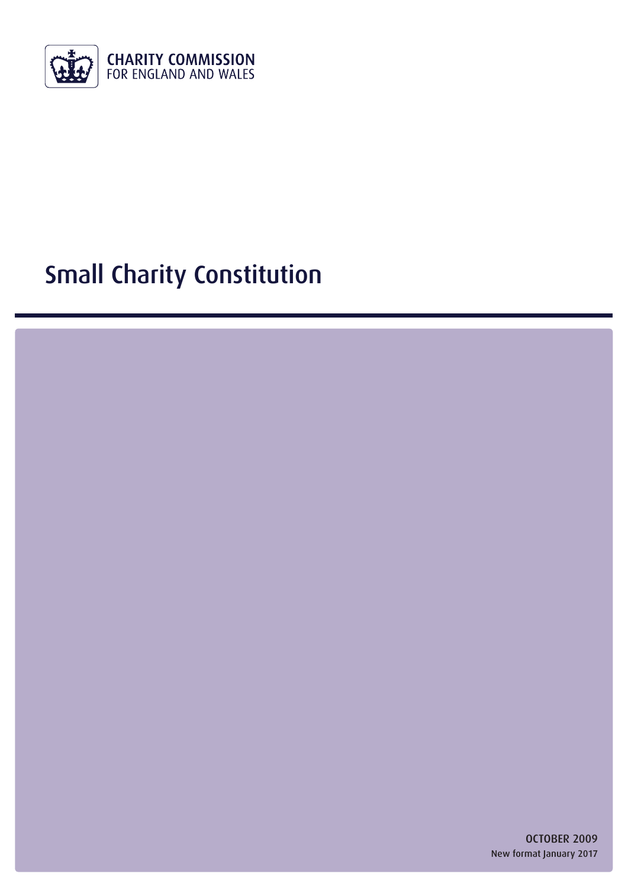

# Small Charity Constitution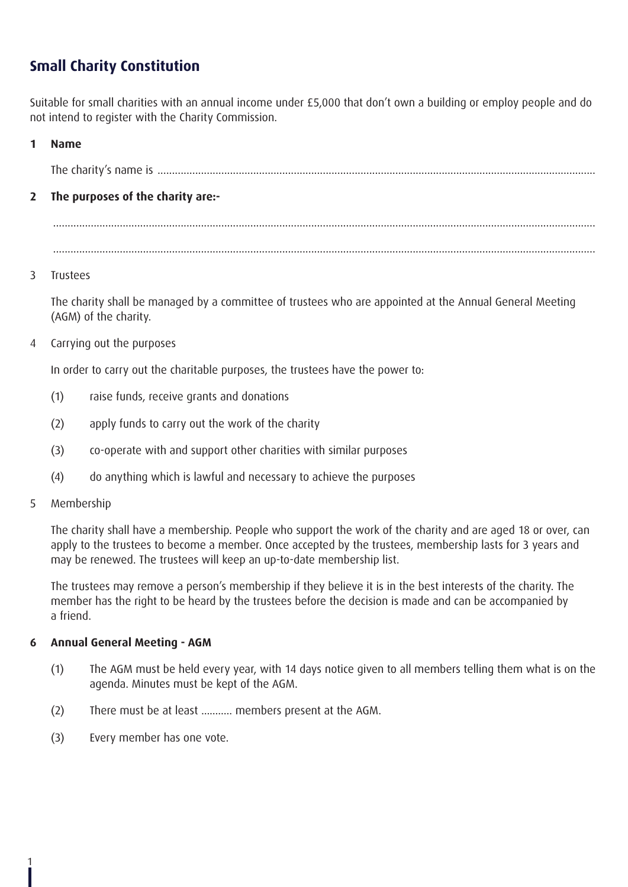## **Small Charity Constitution**

Suitable for small charities with an annual income under £5,000 that don't own a building or employ people and do not intend to register with the Charity Commission.

#### **1 Name**

The charity's name is .......................................................................................................................................................

#### **2 The purposes of the charity are:-**

........................................................................................................................................................................................... ...........................................................................................................................................................................................

#### 3 Trustees

The charity shall be managed by a committee of trustees who are appointed at the Annual General Meeting (AGM) of the charity.

4 Carrying out the purposes

In order to carry out the charitable purposes, the trustees have the power to:

- (1) raise funds, receive grants and donations
- (2) apply funds to carry out the work of the charity
- (3) co-operate with and support other charities with similar purposes
- (4) do anything which is lawful and necessary to achieve the purposes
- 5 Membership

1

The charity shall have a membership. People who support the work of the charity and are aged 18 or over, can apply to the trustees to become a member. Once accepted by the trustees, membership lasts for 3 years and may be renewed. The trustees will keep an up-to-date membership list.

The trustees may remove a person's membership if they believe it is in the best interests of the charity. The member has the right to be heard by the trustees before the decision is made and can be accompanied by a friend.

#### **6 Annual General Meeting - AGM**

- (1) The AGM must be held every year, with 14 days notice given to all members telling them what is on the agenda. Minutes must be kept of the AGM.
- (2) There must be at least ........... members present at the AGM.
- (3) Every member has one vote.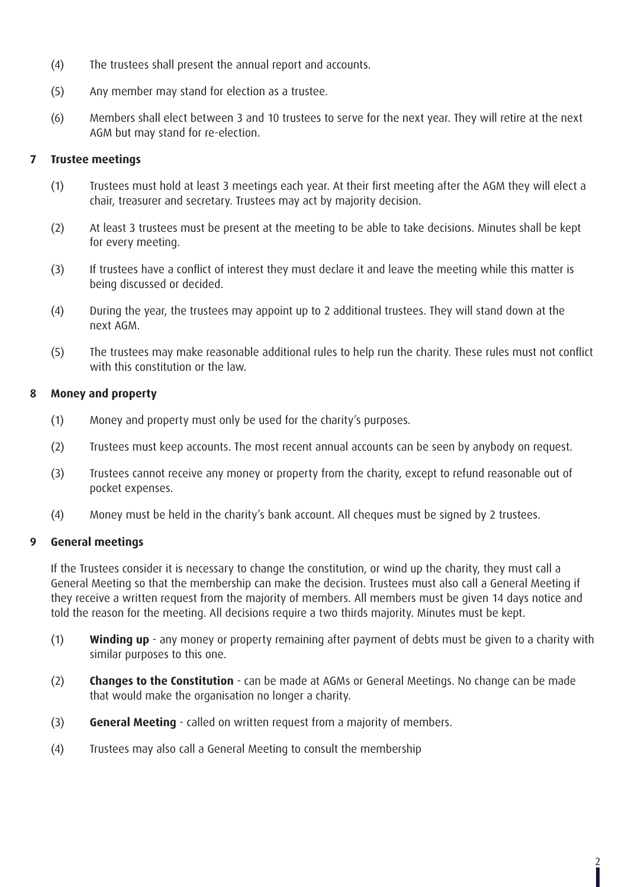- (4) The trustees shall present the annual report and accounts.
- (5) Any member may stand for election as a trustee.
- (6) Members shall elect between 3 and 10 trustees to serve for the next year. They will retire at the next AGM but may stand for re-election.

#### **7 Trustee meetings**

- (1) Trustees must hold at least 3 meetings each year. At their first meeting after the AGM they will elect a chair, treasurer and secretary. Trustees may act by majority decision.
- (2) At least 3 trustees must be present at the meeting to be able to take decisions. Minutes shall be kept for every meeting.
- (3) If trustees have a conflict of interest they must declare it and leave the meeting while this matter is being discussed or decided.
- (4) During the year, the trustees may appoint up to 2 additional trustees. They will stand down at the next AGM.
- (5) The trustees may make reasonable additional rules to help run the charity. These rules must not conflict with this constitution or the law.

#### **8 Money and property**

- (1) Money and property must only be used for the charity's purposes.
- (2) Trustees must keep accounts. The most recent annual accounts can be seen by anybody on request.
- (3) Trustees cannot receive any money or property from the charity, except to refund reasonable out of pocket expenses.
- (4) Money must be held in the charity's bank account. All cheques must be signed by 2 trustees.

#### **9 General meetings**

If the Trustees consider it is necessary to change the constitution, or wind up the charity, they must call a General Meeting so that the membership can make the decision. Trustees must also call a General Meeting if they receive a written request from the majority of members. All members must be given 14 days notice and told the reason for the meeting. All decisions require a two thirds majority. Minutes must be kept.

- (1) **Winding up** any money or property remaining after payment of debts must be given to a charity with similar purposes to this one.
- (2) **Changes to the Constitution** can be made at AGMs or General Meetings. No change can be made that would make the organisation no longer a charity.
- (3) **General Meeting**  called on written request from a majority of members.
- (4) Trustees may also call a General Meeting to consult the membership